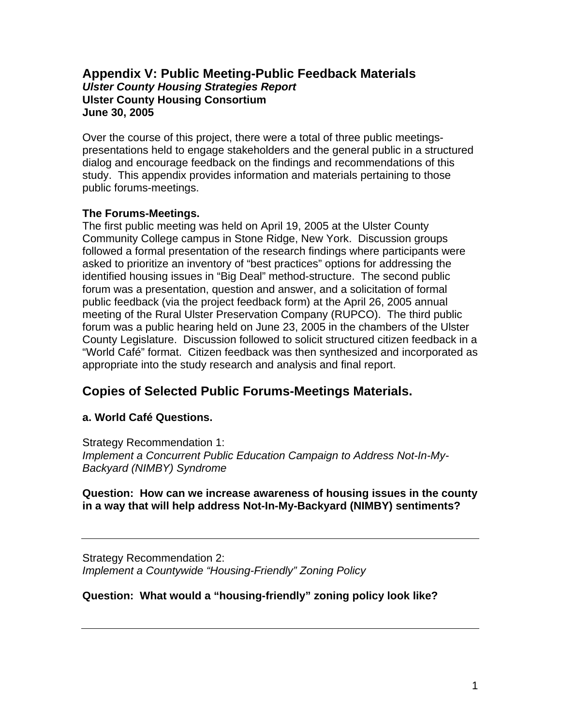# **Appendix V: Public Meeting-Public Feedback Materials**  *Ulster County Housing Strategies Report*  **Ulster County Housing Consortium June 30, 2005**

Over the course of this project, there were a total of three public meetingspresentations held to engage stakeholders and the general public in a structured dialog and encourage feedback on the findings and recommendations of this study. This appendix provides information and materials pertaining to those public forums-meetings.

### **The Forums-Meetings.**

The first public meeting was held on April 19, 2005 at the Ulster County Community College campus in Stone Ridge, New York. Discussion groups followed a formal presentation of the research findings where participants were asked to prioritize an inventory of "best practices" options for addressing the identified housing issues in "Big Deal" method-structure. The second public forum was a presentation, question and answer, and a solicitation of formal public feedback (via the project feedback form) at the April 26, 2005 annual meeting of the Rural Ulster Preservation Company (RUPCO). The third public forum was a public hearing held on June 23, 2005 in the chambers of the Ulster County Legislature. Discussion followed to solicit structured citizen feedback in a "World Café" format. Citizen feedback was then synthesized and incorporated as appropriate into the study research and analysis and final report.

# **Copies of Selected Public Forums-Meetings Materials.**

# **a. World Café Questions.**

Strategy Recommendation 1: *Implement a Concurrent Public Education Campaign to Address Not-In-My-Backyard (NIMBY) Syndrome* 

#### **Question: How can we increase awareness of housing issues in the county in a way that will help address Not-In-My-Backyard (NIMBY) sentiments?**

Strategy Recommendation 2: *Implement a Countywide "Housing-Friendly" Zoning Policy* 

# **Question: What would a "housing-friendly" zoning policy look like?**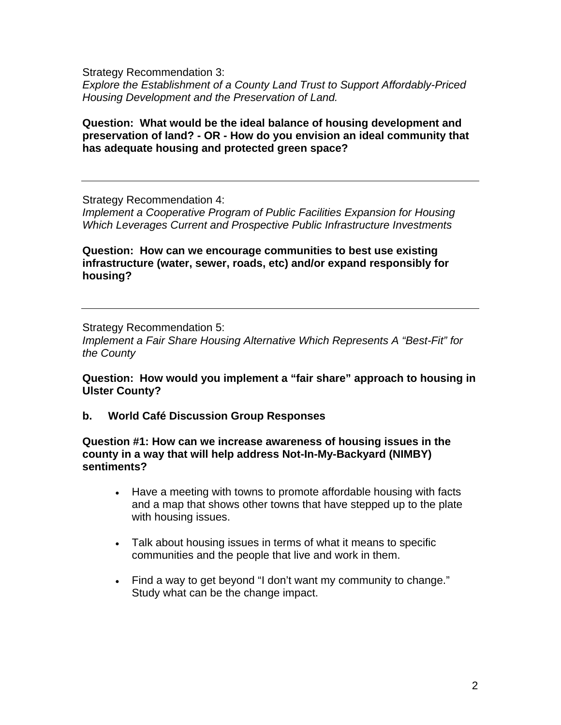Strategy Recommendation 3: *Explore the Establishment of a County Land Trust to Support Affordably-Priced Housing Development and the Preservation of Land.* 

#### **Question: What would be the ideal balance of housing development and preservation of land? - OR - How do you envision an ideal community that has adequate housing and protected green space?**

Strategy Recommendation 4:

*Implement a Cooperative Program of Public Facilities Expansion for Housing Which Leverages Current and Prospective Public Infrastructure Investments* 

**Question: How can we encourage communities to best use existing infrastructure (water, sewer, roads, etc) and/or expand responsibly for housing?** 

Strategy Recommendation 5:

*Implement a Fair Share Housing Alternative Which Represents A "Best-Fit" for the County* 

**Question: How would you implement a "fair share" approach to housing in Ulster County?**

**b. World Café Discussion Group Responses** 

**Question #1: How can we increase awareness of housing issues in the county in a way that will help address Not-In-My-Backyard (NIMBY) sentiments?** 

- Have a meeting with towns to promote affordable housing with facts and a map that shows other towns that have stepped up to the plate with housing issues.
- Talk about housing issues in terms of what it means to specific communities and the people that live and work in them.
- Find a way to get beyond "I don't want my community to change." Study what can be the change impact.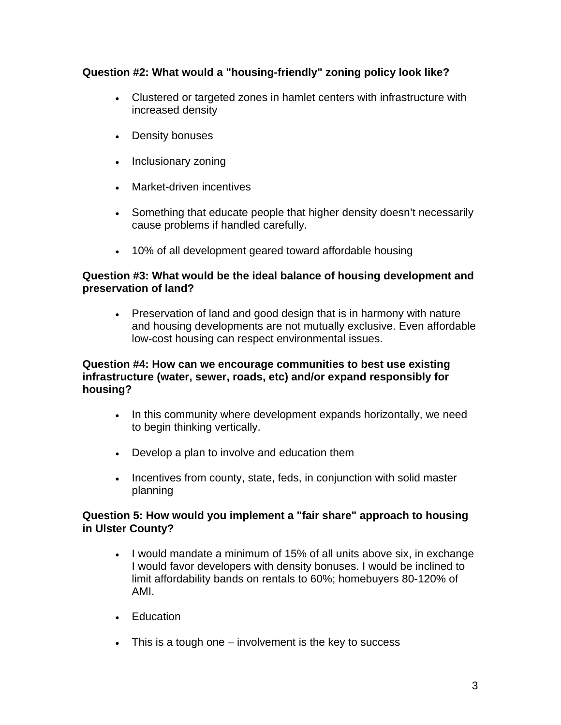# **Question #2: What would a "housing-friendly" zoning policy look like?**

- Clustered or targeted zones in hamlet centers with infrastructure with increased density
- Density bonuses
- Inclusionary zoning
- Market-driven incentives
- Something that educate people that higher density doesn't necessarily cause problems if handled carefully.
- 10% of all development geared toward affordable housing

## **Question #3: What would be the ideal balance of housing development and preservation of land?**

• Preservation of land and good design that is in harmony with nature and housing developments are not mutually exclusive. Even affordable low-cost housing can respect environmental issues.

### **Question #4: How can we encourage communities to best use existing infrastructure (water, sewer, roads, etc) and/or expand responsibly for housing?**

- In this community where development expands horizontally, we need to begin thinking vertically.
- Develop a plan to involve and education them
- Incentives from county, state, feds, in conjunction with solid master planning

### **Question 5: How would you implement a "fair share" approach to housing in Ulster County?**

- I would mandate a minimum of 15% of all units above six, in exchange I would favor developers with density bonuses. I would be inclined to limit affordability bands on rentals to 60%; homebuyers 80-120% of AMI.
- Education
- This is a tough one involvement is the key to success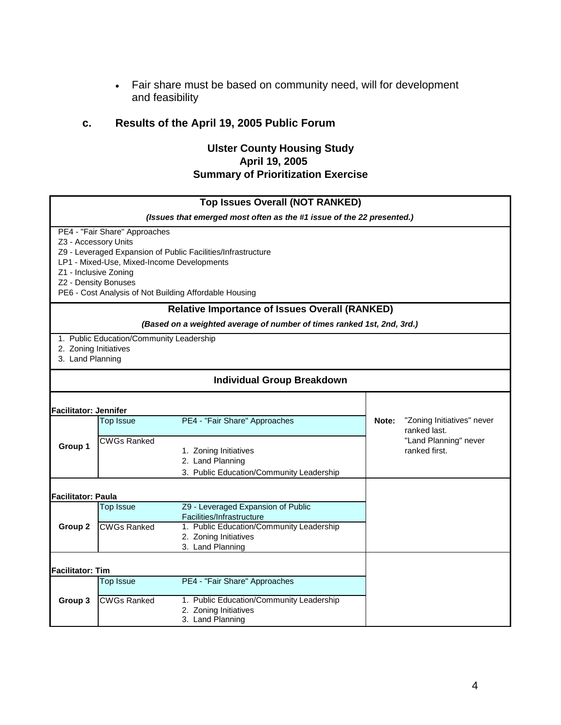• Fair share must be based on community need, will for development and feasibility

# **c. Results of the April 19, 2005 Public Forum**

#### **April 19, 2005 Ulster County Housing Study Summary of Prioritization Exercise**

|                                               |                                                                                                     | <b>Top Issues Overall (NOT RANKED)</b>                                                                                 |       |                                            |  |
|-----------------------------------------------|-----------------------------------------------------------------------------------------------------|------------------------------------------------------------------------------------------------------------------------|-------|--------------------------------------------|--|
|                                               |                                                                                                     | (Issues that emerged most often as the #1 issue of the 22 presented.)                                                  |       |                                            |  |
| Z3 - Accessory Units<br>Z1 - Inclusive Zoning | PE4 - "Fair Share" Approaches<br>LP1 - Mixed-Use, Mixed-Income Developments<br>Z2 - Density Bonuses | Z9 - Leveraged Expansion of Public Facilities/Infrastructure<br>PE6 - Cost Analysis of Not Building Affordable Housing |       |                                            |  |
|                                               |                                                                                                     | <b>Relative Importance of Issues Overall (RANKED)</b>                                                                  |       |                                            |  |
|                                               |                                                                                                     | (Based on a weighted average of number of times ranked 1st, 2nd, 3rd.)                                                 |       |                                            |  |
| 2. Zoning Initiatives<br>3. Land Planning     | 1. Public Education/Community Leadership                                                            |                                                                                                                        |       |                                            |  |
| <b>Individual Group Breakdown</b>             |                                                                                                     |                                                                                                                        |       |                                            |  |
| <b>Facilitator: Jennifer</b>                  |                                                                                                     |                                                                                                                        |       |                                            |  |
| Group 1                                       | <b>Top Issue</b>                                                                                    | PE4 - "Fair Share" Approaches                                                                                          | Note: | "Zoning Initiatives" never<br>ranked last. |  |
|                                               | <b>CWGs Ranked</b>                                                                                  | 1. Zoning Initiatives<br>2. Land Planning<br>3. Public Education/Community Leadership                                  |       | "Land Planning" never<br>ranked first.     |  |
| <b>Facilitator: Paula</b>                     |                                                                                                     |                                                                                                                        |       |                                            |  |
| Group <sub>2</sub>                            | <b>Top Issue</b>                                                                                    | Z9 - Leveraged Expansion of Public<br>Facilities/Infrastructure                                                        |       |                                            |  |
|                                               | <b>CWGs Ranked</b>                                                                                  | 1. Public Education/Community Leadership<br>2. Zoning Initiatives<br>3. Land Planning                                  |       |                                            |  |
| <b>Facilitator: Tim</b>                       |                                                                                                     |                                                                                                                        |       |                                            |  |
| Group 3                                       | <b>Top Issue</b>                                                                                    | PE4 - "Fair Share" Approaches                                                                                          |       |                                            |  |
|                                               | <b>CWGs Ranked</b>                                                                                  | 1. Public Education/Community Leadership<br>2. Zoning Initiatives<br>3. Land Planning                                  |       |                                            |  |